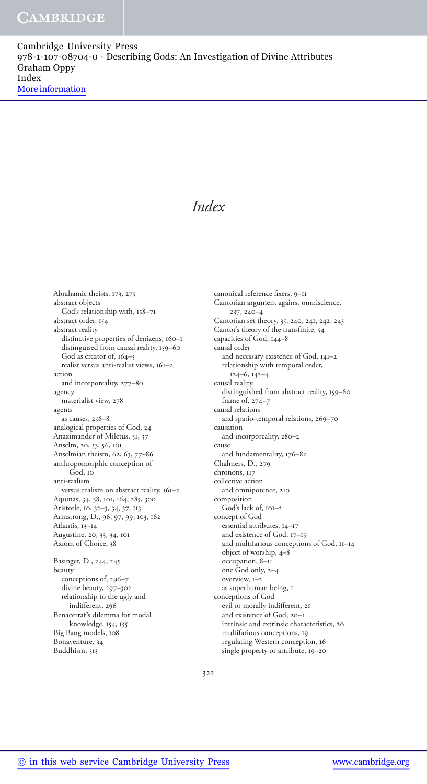Cambridge University Press 978-1-107-08704-0 - Describing Gods: An Investigation of Divine Attributes Graham Oppy Index More information

# *Index*

Abrahamic theists, 173, 275 abstract objects God's relationship with, 158–71 abstract order, 154 abstract reality distinctive properties of denizens, 160–1 distinguised from causal reality, 159–60 God as creator of, 164–5 realist versus anti-realist views, 161–2 action and incorporeality, 277–80 agency materialist view, 278 agents as causes, 256–8 analogical properties of God, 24 Anaximander of Miletus, 31, 37 Anselm, 20, 53, 56, 101 Anselmian theism, 62, 63, 77-86 anthropomorphic conception of God, 10 anti-realism versus realism on abstract reality, 161–2 Aquinas, 34, 38, 101, 164, 285, 300 Aristotle, 10, 32-3, 34, 37, 113 Armstrong, D., 96, 97, 99, 103, 162 Atlantis, 13–14 Augustine, 20, 33, 34, 101 Axiom of Choice, 38 Basinger, D., 244, 245 beauty conceptions of, 296–7 divine beauty, 297–302 relationship to the ugly and indifferent, 296 Benacerraf's dilemma for modal knowledge, 154, 155 Big Bang models, 108 Bonaventure, 34

 Cantorian argument against omniscience,  $237, 240 - 4$ Cantorian set theory, 35, 240, 241, 242, 243 Cantor's theory of the transfinite, 54 capacities of God, 144–8 causal order and necessary existence of God, 141–2 relationship with temporal order,  $124-6, 142-4$  causal reality distinguished from abstract reality, 159–60 frame of, 274–7 causal relations and spatio-temporal relations, 269–70 causation and incorporeality, 280–2 cause and fundamentality, 176–82 Chalmers, D., 279 chronons, 117 collective action and omnipotence, 210 composition God's lack of, 101–2 concept of God essential attributes, 14–17 and existence of God, 17–19 and multifarious conceptions of God, 11–14 object of worship, 4–8 occupation, 8–11 one God only, 2–4 overview, 1–2 as superhuman being, 1 conceptions of God evil or morally indifferent, 21 and existence of God, 20–1 intrinsic and extrinsic characteristics, 20 multifarious conceptions, 19 regulating Western conception, 16

canonical reference fixers, 9-11

single property or attribute, 19–20

321

Buddhism, 313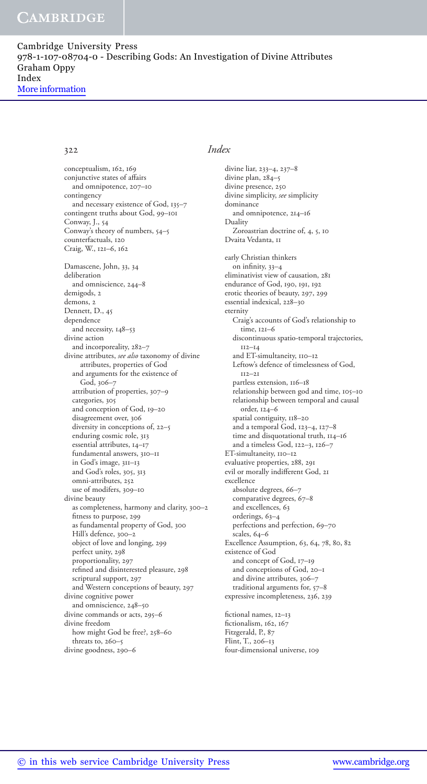## CAMBRIDGE

Cambridge University Press 978-1-107-08704-0 - Describing Gods: An Investigation of Divine Attributes Graham Oppy Index More information

conceptualism, 162, 169 conjunctive states of affairs and omnipotence, 207–10 contingency and necessary existence of God, 135–7 contingent truths about God, 99–101 Conway, J., 54 Conway's theory of numbers, 54–5 counterfactuals, 120 Craig, W., 121-6, 162 Damascene, John, 33, 34 deliberation and omniscience, 244–8 demigods, 2 demons, 2 Dennett, D., 45 dependence and necessity, 148–53 divine action and incorporeality, 282–7 divine attributes, *see also* taxonomy of divine attributes, properties of God and arguments for the existence of God, 306–7 attribution of properties, 307–9 categories, 305 and conception of God, 19–20 disagreement over, 306 diversity in conceptions of, 22–5 enduring cosmic role, 313 essential attributes, 14–17 fundamental answers, 310–11 in God's image, 311–13 and God's roles, 305, 313 omni-attributes, 252 use of modifers, 309–10 divine beauty as completeness, harmony and clarity, 300–2 fitness to purpose, 299 as fundamental property of God, 300 Hill's defence, 300–2 object of love and longing, 299 perfect unity, 298 proportionality, 297 refined and disinterested pleasure, 298 scriptural support, 297 and Western conceptions of beauty, 297 divine cognitive power and omniscience, 248–50 divine commands or acts, 295–6 divine freedom how might God be free?, 258–60 threats to, 260–5 divine goodness, 290–6

### 322 *Index*

divine liar, 233-4, 237-8 divine plan, 284–5 divine presence, 250 divine simplicity, *see* simplicity dominance and omnipotence, 214–16 Duality Zoroastrian doctrine of, 4, 5, 10 Dvaita Vedanta, 11 early Christian thinkers on infinity,  $33-4$  eliminativist view of causation, 281 endurance of God, 190, 191, 192 erotic theories of beauty, 297, 299 essential indexical, 228–30 eternity Craig's accounts of God's relationship to time, 121–6 discontinuous spatio-temporal trajectories, 112–14 and ET-simultaneity, 110–12 Leftow's defence of timelessness of God, 112–21 partless extension, 116–18 relationship between god and time, 105–10 relationship between temporal and causal order, 124–6 spatial contiguity, 118–20 and a temporal God, 123-4, 127-8 time and disquotational truth, 114–16 and a timeless God, 122-3, 126-7 ET-simultaneity, 110–12 evaluative properties, 288, 291 evil or morally indifferent God, 21 excellence absolute degrees, 66–7 comparative degrees, 67–8 and excellences, 63 orderings, 63–4 perfections and perfection, 69–70 scales, 64–6 Excellence Assumption, 63, 64, 78, 80, 82 existence of God and concept of God, 17–19 and conceptions of God, 20–1 and divine attributes, 306–7 traditional arguments for, 57–8 expressive incompleteness, 236, 239 fictional names, 12-13

fictionalism, 162, 167 Fitzgerald, P., 87 Flint, T., 206–13 four-dimensional universe, 109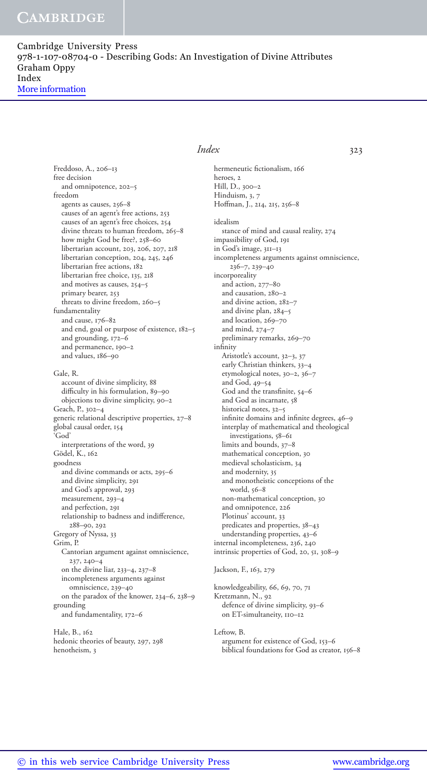## **CAMBRIDGE**

Cambridge University Press 978-1-107-08704-0 - Describing Gods: An Investigation of Divine Attributes Graham Oppy Index More information

> Freddoso, A., 206–13 free decision and omnipotence, 202–5 freedom agents as causes, 256–8 causes of an agent's free actions, 253 causes of an agent's free choices, 254 divine threats to human freedom, 265-8 how might God be free?, 258–60 libertarian account, 203, 206, 207, 218 libertarian conception, 204, 245, 246 libertarian free actions, 182 libertarian free choice, 135, 218 and motives as causes, 254–5 primary bearer, 253 threats to divine freedom, 260–5 fundamentality and cause, 176–82 and end, goal or purpose of existence, 182–5 and grounding, 172–6 and permanence, 190–2 and values, 186–90 Gale, R. account of divine simplicity, 88 difficulty in his formulation, 89-90 objections to divine simplicity, 90–2 Geach, P., 302–4 generic relational descriptive properties, 27–8 global causal order, 154 'God' interpretations of the word, 39 Gödel, K., 162 goodness and divine commands or acts, 295–6 and divine simplicity, 291 and God's approval, 293 measurement, 293–4 and perfection, 291 relationship to badness and indifference, 288–90 , 292 Gregory of Nyssa, 33 Grim, P. Cantorian argument against omniscience, 237 , 240–4 on the divine liar, 233-4, 237-8 incompleteness arguments against omniscience, 239–40 on the paradox of the knower, 234–6 , 238–9 grounding and fundamentality, 172–6

 Hale, B., 162 hedonic theories of beauty, 297, 298 henotheism, 3

### *Index* 323

hermeneutic fictionalism, 166 heroes, 2 Hill, D., 300–2 Hinduism, 3, 7 Hoffman, J., 214, 215, 256-8 idealism stance of mind and causal reality, 274 impassibility of God, 191 in God's image, 311–13 incompleteness arguments against omniscience,  $236 - 7, 239 - 40$  incorporeality and action, 277–80 and causation, 280–2 and divine action, 282–7 and divine plan, 284–5 and location, 269–70 and mind, 274–7 preliminary remarks, 269–70 infinity Aristotle's account, 32-3, 37 early Christian thinkers, 33–4 etymological notes, 30-2, 36-7 and God, 49–54 God and the transfinite, 54-6 and God as incarnate, 58 historical notes, 32–5 infinite domains and infinite degrees, 46-9 interplay of mathematical and theological investigations, 58–61 limits and bounds, 37–8 mathematical conception, 30 medieval scholasticism, 34 and modernity, 35 and monotheistic conceptions of the world, 56–8 non-mathematical conception, 30 and omnipotence, 226 Plotinus' account, 33

 predicates and properties, 38–43 understanding properties, 43–6 internal incompleteness, 236, 240 intrinsic properties of God, 20, 51, 308-9

### Jackson, F., 163, 279

knowledgeability, 66, 69, 70, 71 Kretzmann, N., 92 defence of divine simplicity, 93–6 on ET-simultaneity, 110–12

 Leftow, B. argument for existence of God, 153–6 biblical foundations for God as creator, 156–8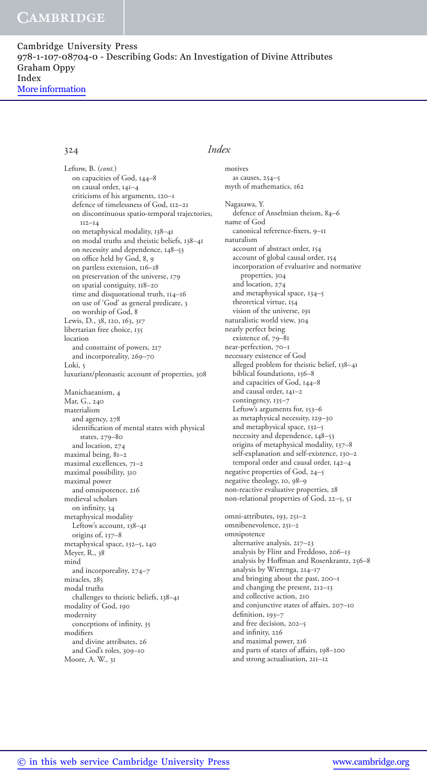Cambridge University Press 978-1-107-08704-0 - Describing Gods: An Investigation of Divine Attributes Graham Oppy Index More information

 on capacities of God, 144–8 on causal order, 141–4 criticisms of his arguments, 120–1 defence of timelessness of God, 112–21 on discontinuous spatio-temporal trajectories, 112–14 on metaphysical modality, 138–41 on modal truths and theistic beliefs, 138–41 on necessity and dependence, 148–53 on office held by God, 8, 9 on partless extension, 116–18 on preservation of the universe, 179 on spatial contiguity, 118–20 time and disquotational truth, 114–16 on use of 'God' as general predicate, 3 on worship of God, 8 Lewis, D., 38, 120, 163, 317 libertarian free choice, 135 location and constraint of powers, 217 and incorporeality, 269–70 Loki, 5 luxuriant/pleonastic account of properties, 308 Manichaeanism, 4 Mar, G., 240 materialism and agency, 278 identification of mental states with physical states, 279–80 and location, 274 maximal being, 81–2 maximal excellences, 71–2 maximal possibility, 310 maximal power and omnipotence, 216 medieval scholars on infinity, 34 metaphysical modality Leftow's account, 138–41 origins of, 137–8 metaphysical space, 132-5, 140 Meyer, R., 38 mind and incorporeality, 274–7 miracles, 285 modal truths challenges to theistic beliefs, 138–41 modality of God, 190 modernity conceptions of infinity, 35 modifiers and divine attributes, 26 and God's roles, 309–10 Moore, A. W., 31 Leftow, B. (*cont.*)

## 324 *Index*

motives

 as causes, 254–5 myth of mathematics, 162 Nagasawa, Y. defence of Anselmian theism, 84–6 name of God canonical reference-fixers, 9-11 naturalism account of abstract order, 154 account of global causal order, 154 incorporation of evaluative and normative properties, 304 and location, 274 and metaphysical space, 134–5 theoretical virtue, 154 vision of the universe, 191 naturalistic world view, 304 nearly perfect being existence of, 79–81 near-perfection, 70–1 necessary existence of God alleged problem for theistic belief, 138–41 biblical foundations, 156–8 and capacities of God, 144–8 and causal order, 141–2 contingency, 135-7 Leftow's arguments for, 153–6 as metaphysical necessity, 129–30 and metaphysical space, 132–5 necessity and dependence, 148–53 origins of metaphysical modality, 137–8 self-explanation and self-existence, 130–2 temporal order and causal order, 142–4 negative properties of God, 24–5 negative theology, 10, 98-9 non-reactive evaluative properties, 28 non-relational properties of God, 22-5, 51 omni-attributes, 193, 251-2 omnibenevolence, 251–2 omnipotence alternative analysis, 217–23 analysis by Flint and Freddoso, 206–13 analysis by Hoffman and Rosenkrantz, 256-8 analysis by Wierenga, 214–17 and bringing about the past, 200–1 and changing the present, 212–13 and collective action, 210 and conjunctive states of affairs, 207-10 definition, 193-7 and free decision, 202–5 and infinity, 226 and maximal power, 216 and parts of states of affairs, 198-200 and strong actualisation, 211–12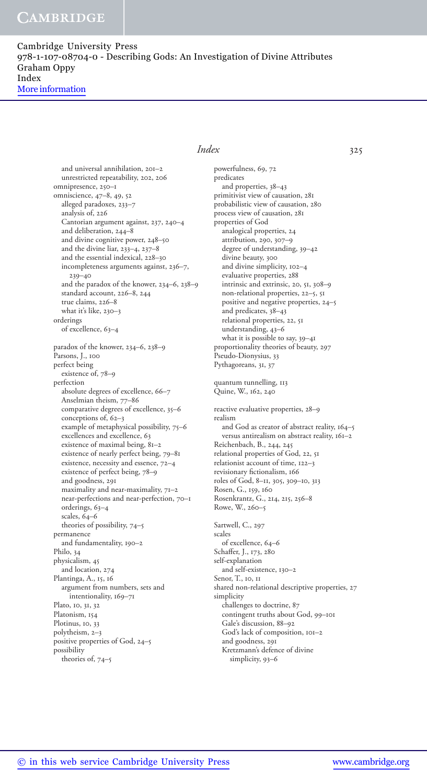## **CAMBRIDGE**

Cambridge University Press 978-1-107-08704-0 - Describing Gods: An Investigation of Divine Attributes Graham Oppy Index More information

> and universal annihilation, 201–2 unrestricted repeatability, 202, 206 omnipresence, 250–1 omniscience, 47-8, 49, 52 alleged paradoxes, 233–7 analysis of, 226 Cantorian argument against, 237, 240-4 and deliberation, 244–8 and divine cognitive power, 248–50 and the divine liar,  $233-4$ ,  $237-8$  and the essential indexical, 228–30 incompleteness arguments against, 236-7, 239–40 and the paradox of the knower, 234–6 , 238–9 standard account, 226-8, 244 true claims, 226–8 what it's like, 230–3 orderings of excellence, 63–4 paradox of the knower, 234–6, 238–9 Parsons, J., 100 perfect being existence of, 78–9 perfection absolute degrees of excellence, 66–7 Anselmian theism, 77–86 comparative degrees of excellence, 35–6 conceptions of, 62-3 example of metaphysical possibility, 75–6 excellences and excellence, 63 existence of maximal being, 81–2 existence of nearly perfect being, 79–81 existence, necessity and essence, 72–4 existence of perfect being, 78–9 and goodness, 291 maximality and near-maximality, 71–2 near-perfections and near-perfection, 70–1 orderings, 63–4 scales, 64–6 theories of possibility, 74–5 permanence and fundamentality, 190–2 Philo, 34 physicalism, 45 and location, 274 Plantinga, A., 15, 16 argument from numbers, sets and intentionality, 169–71 Plato, 10, 31, 32 Platonism, 154 Plotinus, 10, 33 polytheism, 2–3 positive properties of God, 24–5 possibility theories of, 74–5

### *Index* 325

powerfulness, 69, 72 predicates and properties, 38–43 primitivist view of causation, 281 probabilistic view of causation, 280 process view of causation, 281 properties of God analogical properties, 24 attribution, 290, 307-9 degree of understanding, 39–42 divine beauty, 300 and divine simplicity, 102–4 evaluative properties, 288 intrinsic and extrinsic, 20, 51, 308-9 non-relational properties, 22-5, 51 positive and negative properties, 24–5 and predicates, 38-43 relational properties, 22, 51 understanding, 43–6 what it is possible to say, 39–41 proportionality theories of beauty, 297 Pseudo-Dionysius, 33 Pythagoreans, 31, 37 quantum tunnelling, 113 Quine, W., 162, 240 reactive evaluative properties, 28–9 realism and God as creator of abstract reality, 164–5 versus antirealism on abstract reality, 161–2 Reichenbach, B., 244, 245 relational properties of God, 22, 51 relationist account of time, 122–3 revisionary fictionalism, 166 roles of God, 8–11 , 305 , 309–10 , 313 Rosen, G., 159, 160 Rosenkrantz, G., 214, 215, 256-8 Rowe, W., 260–5 Sartwell, C., 297 scales of excellence, 64–6 Schaffer, J., 173, 280 self-explanation and self-existence, 130–2 Senor, T., 10, 11 shared non-relational descriptive properties, 27 simplicity

 challenges to doctrine, 87 contingent truths about God, 99–101 Gale's discussion, 88–92

 God's lack of composition, 101–2 and goodness, 291 Kretzmann's defence of divine

simplicity, 93–6